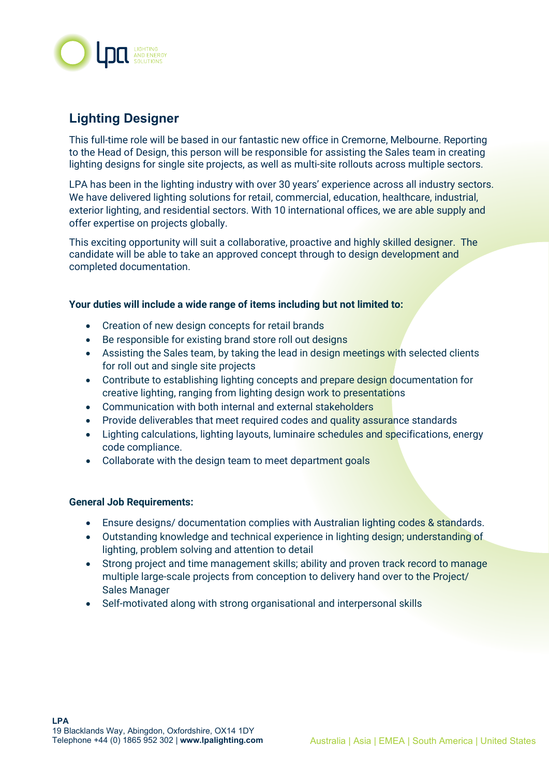

# **Lighting Designer**

This full-time role will be based in our fantastic new office in Cremorne, Melbourne. Reporting to the Head of Design, this person will be responsible for assisting the Sales team in creating lighting designs for single site projects, as well as multi-site rollouts across multiple sectors.

LPA has been in the lighting industry with over 30 years' experience across all industry sectors. We have delivered lighting solutions for retail, commercial, education, healthcare, industrial, exterior lighting, and residential sectors. With 10 international offices, we are able supply and offer expertise on projects globally.

This exciting opportunity will suit a collaborative, proactive and highly skilled designer. The candidate will be able to take an approved concept through to design development and completed documentation.

#### **Your duties will include a wide range of items including but not limited to:**

- Creation of new design concepts for retail brands
- Be responsible for existing brand store roll out designs
- Assisting the Sales team, by taking the lead in design meetings with selected clients for roll out and single site projects
- Contribute to establishing lighting concepts and prepare design documentation for creative lighting, ranging from lighting design work to presentations
- Communication with both internal and external stakeholders
- Provide deliverables that meet required codes and quality assurance standards
- Lighting calculations, lighting layouts, luminaire schedules and specifications, energy code compliance.
- Collaborate with the design team to meet department goals

#### **General Job Requirements:**

- Ensure designs/ documentation complies with Australian lighting codes & standards.
- Outstanding knowledge and technical experience in lighting design; understanding of lighting, problem solving and attention to detail
- Strong project and time management skills; ability and proven track record to manage multiple large-scale projects from conception to delivery hand over to the Project/ Sales Manager
- Self-motivated along with strong organisational and interpersonal skills